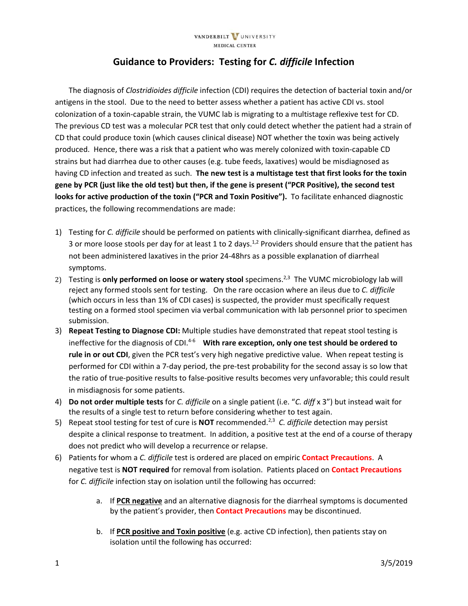## **Guidance to Providers: Testing for** *C. difficile* **Infection**

The diagnosis of *Clostridioides difficile* infection (CDI) requires the detection of bacterial toxin and/or antigens in the stool. Due to the need to better assess whether a patient has active CDI vs. stool colonization of a toxin‐capable strain, the VUMC lab is migrating to a multistage reflexive test for CD. The previous CD test was a molecular PCR test that only could detect whether the patient had a strain of CD that could produce toxin (which causes clinical disease) NOT whether the toxin was being actively produced. Hence, there was a risk that a patient who was merely colonized with toxin‐capable CD strains but had diarrhea due to other causes (e.g. tube feeds, laxatives) would be misdiagnosed as having CD infection and treated as such. **The new test is a multistage test that first looks for the toxin** gene by PCR (just like the old test) but then, if the gene is present ("PCR Positive), the second test **looks for active production of the toxin ("PCR and Toxin Positive").** To facilitate enhanced diagnostic practices, the following recommendations are made:

- 1) Testing for *C. difficile* should be performed on patients with clinically‐significant diarrhea, defined as 3 or more loose stools per day for at least 1 to 2 days.<sup>1,2</sup> Providers should ensure that the patient has not been administered laxatives in the prior 24‐48hrs as a possible explanation of diarrheal symptoms.
- 2) Testing is **only performed on loose or watery stool** specimens.2,3 The VUMC microbiology lab will reject any formed stools sent for testing. On the rare occasion where an ileus due to *C. difficile* (which occurs in less than 1% of CDI cases) is suspected, the provider must specifically request testing on a formed stool specimen via verbal communication with lab personnel prior to specimen submission.
- 3) **Repeat Testing to Diagnose CDI:** Multiple studies have demonstrated that repeat stool testing is ineffective for the diagnosis of CDI.4‐<sup>6</sup>  **With rare exception, only one test should be ordered to rule in or out CDI**, given the PCR test's very high negative predictive value. When repeat testing is performed for CDI within a 7-day period, the pre-test probability for the second assay is so low that the ratio of true‐positive results to false‐positive results becomes very unfavorable; this could result in misdiagnosis for some patients.
- 4) **Do not order multiple tests** for *C. difficile* on a single patient (i.e. "*C. diff* x 3") but instead wait for the results of a single test to return before considering whether to test again.
- 5) Repeat stool testing for test of cure is **NOT** recommended.2,3 *C. difficile* detection may persist despite a clinical response to treatment. In addition, a positive test at the end of a course of therapy does not predict who will develop a recurrence or relapse.
- 6) Patients for whom a *C. difficile* test is ordered are placed on empiric **Contact Precautions**. A negative test is **NOT required** for removal from isolation. Patients placed on **Contact Precautions** for *C. difficile* infection stay on isolation until the following has occurred:
	- a. If **PCR negative** and an alternative diagnosis for the diarrheal symptoms is documented by the patient's provider, then **Contact Precautions** may be discontinued.
	- b. If **PCR positive and Toxin positive** (e.g. active CD infection), then patients stay on isolation until the following has occurred: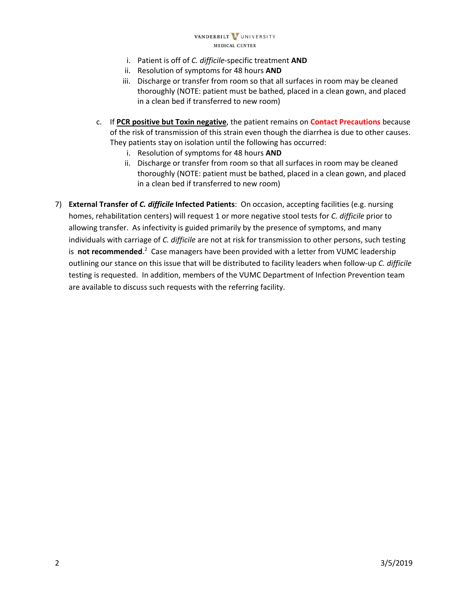## VANDERBILT VUNIVERSITY MEDICAL CENTER

- i. Patient is off of *C. difficile*‐specific treatment **AND**
- ii. Resolution of symptoms for 48 hours **AND**
- iii. Discharge or transfer from room so that all surfaces in room may be cleaned thoroughly (NOTE: patient must be bathed, placed in a clean gown, and placed in a clean bed if transferred to new room)
- c. If **PCR positive but Toxin negative**, the patient remains on **Contact Precautions** because of the risk of transmission of this strain even though the diarrhea is due to other causes. They patients stay on isolation until the following has occurred:
	- i. Resolution of symptoms for 48 hours **AND**
	- ii. Discharge or transfer from room so that all surfaces in room may be cleaned thoroughly (NOTE: patient must be bathed, placed in a clean gown, and placed in a clean bed if transferred to new room)
- 7) **External Transfer of** *C. difficile* **Infected Patients**: On occasion, accepting facilities (e.g. nursing homes, rehabilitation centers) will request 1 or more negative stool tests for *C. difficile* prior to allowing transfer. As infectivity is guided primarily by the presence of symptoms, and many individuals with carriage of *C. difficile* are not at risk for transmission to other persons, such testing is not recommended.<sup>2</sup> Case managers have been provided with a letter from VUMC leadership outlining our stance on this issue that will be distributed to facility leaders when follow‐up *C. difficile* testing is requested. In addition, members of the VUMC Department of Infection Prevention team are available to discuss such requests with the referring facility.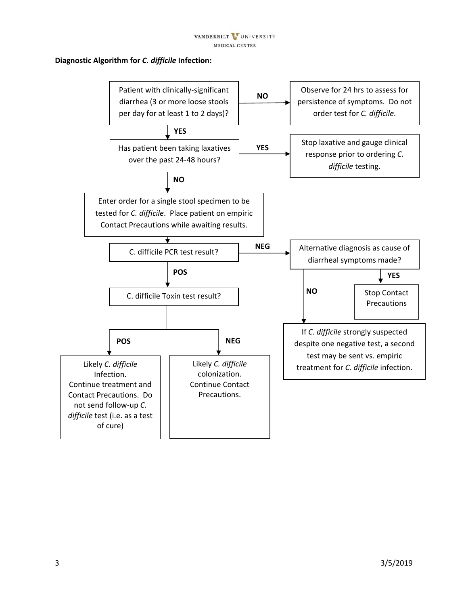## **Diagnostic Algorithm for** *C. difficile* **Infection:**